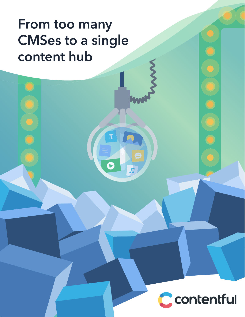# **From too many CMSes to a single content hub**

P

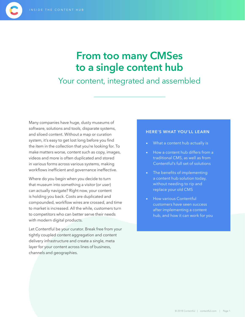## **From too many CMSes to a single content hub**

## Your content, integrated and assembled

Many companies have huge, dusty museums of software, solutions and tools, disparate systems, and siloed content. Without a map or curation system, it's easy to get lost long before you find the item in the collection that you're looking for. To make matters worse, content such as copy, images, videos and more is often duplicated and stored in various forms across various systems, making workflows inefficient and governance ineffective.

Where do you begin when you decide to turn that museum into something a visitor (or user) can actually navigate? Right now, your content is holding you back. Costs are duplicated and compounded, workflow wires are crossed, and time to market is increased. All the while, customers turn to competitors who can better serve their needs with modern digital products.

Let Contentful be your curator. Break free from your tightly coupled content aggregation and content delivery infrastructure and create a single, meta layer for your content across lines of business, channels and geographies.

#### **HERE'S WHAT YOU'LL LEARN**

- What a content hub actually is
- How a content hub differs from a traditional CMS, as well as from Contentful's full set of solutions
- The benefits of implementing a content hub solution today, without needing to rip and replace your old CMS
- How various Contentful customers have seen success after implementing a content hub, and how it can work for you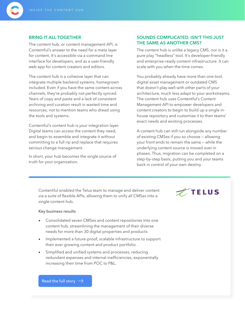

The content hub, or content management API, is Contentful's answer to the need for a meta layer for content. It's accessible via a command line interface for developers, and as a user-friendly web app for content creators and editors.

The content hub is a cohesive layer that can integrate multiple backend systems, homegrown included. Even if you have the same content across channels, they're probably not perfectly synced. Years of copy and paste and a lack of consistent archiving and curation result in wasted time and resources, not to mention teams who dread using the tools and systems.

Contentful's content hub is your integration layer. Digital teams can access the content they need, and begin to assemble and integrate it without committing to a full rip and replace that requires serious change management.

In short, your hub becomes the single source of truth for your organization.

#### **SOUNDS COMPLICATED. ISN'T THIS JUST THE SAME AS ANOTHER CMS?**

The content hub is unlike a legacy CMS, nor is it a pure play "headless" tool. It's developer-friendly and enterprise-ready content infrastructure. It can scale with you when the time comes.

You probably already have more than one tool, digital asset management or outdated CMS that doesn't play well with other parts of your architecture, much less adapt to your workstreams. The content hub uses Contentful's Content Management API to empower developers and content creators to begin to build up a single inhouse repository and customize it to their teams' exact needs and existing processes.

A content hub can still run alongside any number of existing CMSes if you so choose — allowing your front ends to remain the same — while the underlying content source is moved over in phases. Thus, migration can be completed on a step-by-step basis, putting you and your teams back in control of your own destiny.

Contentful enabled the Telus team to manage and deliver content via a suite of flexible APIs, allowing them to unify all CMSes into a single content hub.

#### Key business results

- Consolidated seven CMSes and content repositories into one content hub, streamlining the management of their diverse needs for more than 30 digital properties and products
- Implemented a future-proof, scalable infrastructure to support their ever growing content and product portfolio.
- Simplified and unified systems and processes, reducing redundant expenses and internal inefficiencies, exponentially increasing their time from POC to P&L.

TELUS

Read the full story  $\rightarrow$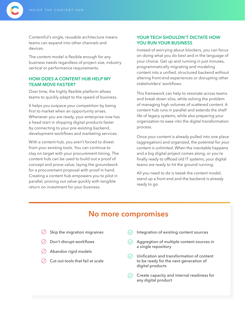Contentful's single, reusable architecture means teams can expand into other channels and devices.

The content model is flexible enough for any business needs regardless of project size, industry vertical or performance requirements.

#### **HOW DOES A CONTENT HUB HELP MY TEAM MOVE FASTER?**

Over time, the highly flexible platform allows teams to quickly adapt to the speed of business.

It helps you outpace your competition by being first to market when an opportunity arises. Whenever you are ready, your enterprise now has a head start in shipping digital products faster by connecting to your pre-existing backend, development workflows and marketing services.

With a content hub, you aren't forced to divest from your existing tools. You can continue to stay on target with your procurement timing. The content hub can be used to build out a proof of concept and prove value, laying the groundwork for a procurement proposal with proof in hand. Creating a content hub empowers you to pilot in parallel, proving out value quickly with tangible return on investment for your business.

#### **YOUR TECH SHOULDN'T DICTATE HOW YOU RUN YOUR BUSINESS**

Instead of worrying about blockers, you can focus on doing what you do best and in the language of your choice. Get up and running in just minutes, programmatically migrating and modeling content into a unified, structured backend without altering front-end experiences or disrupting other stakeholders' workflows.

This framework can help to resonate across teams and break down silos, while solving the problem of managing high volumes of scattered content. A content hub runs in parallel and extends the shelf life of legacy systems, while also preparing your organization to ease into the digital transformation process.

Once your content is already pulled into one place (aggregation) and organized, the potential for your content is unlimited. When the inevitable happens and a big digital project comes along, or you're finally ready to offload old IT systems, your digital teams are ready to hit the ground running.

All you need to do is tweak the content model, stand up a front end and the backend is already ready to go.

### **No more compromises**

- $\oslash$  Skip the migration migraines
- $\Diamond$  Don't disrupt workflows
- Abandon rigid models
- Cut out tools that fail at scale
- Integration of existing content sources
- Aggregtion of multiple content sources in a single repository
- Unification and transformation of content  $\oslash$ to be ready for the next generation of digital products
- Create capacity and internal readiness for any digital product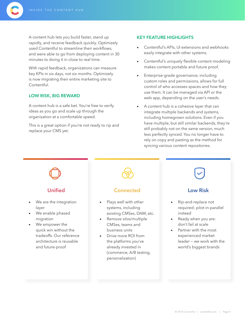A content hub lets you build faster, stand up rapidly, and receive feedback quickly. Optimizely used Contentful to streamline their workflows, and were able to go from deploying content in 30 minutes to doing it in close to real time.

With rapid feedback, organizations can measure key KPIs in six days, not six months. Optimizely is now migrating their entire marketing site to **Contentful** 

#### **LOW RISK, BIG REWARD**

A content hub is a safe bet. You're free to verify ideas as you go and scale up through the organization at a comfortable speed.

This is a great option if you're not ready to rip and replace your CMS yet.

#### **KEY FEATURE HIGHLIGHTS**

- Contentful's APIs, UI extensions and webhooks easily integrate with other systems.
- Contentful's uniquely flexible content modeling makes content portable and future proof.
- Enterprise-grade governance, including custom roles and permissions, allows for full control of who accesses spaces and how they use them. It can be managed via API or the web app, depending on the user's needs.
- A content hub is a cohesive layer that can integrate multiple backends and systems, including homegrown solutions. Even if you have multiple, but still similar backends, they're still probably not on the same version, much less perfectly synced. You no longer have to rely on copy and pasting as the method for syncing various content repositories.

### **Unified**

- We are the integration layer
- We enable phased migration
- We empower the quick win without the tradeoffs. Our reference architecture is reusable and future-proof

#### **Connected**

- Plays well with other systems, including existing CMSes, DAM, etc.
- Remove silos/multiple CMSes, teams and business units
- Drive more ROI from the platforms you've already invested in (commerce, A/B testing, personalization)

### **Low Risk**

- Rip-and-replace not required: pilot-in-parallel instead
- Ready when you are: don't fail at scale
- Partner with the most experienced market leader — we work with the world's biggest brands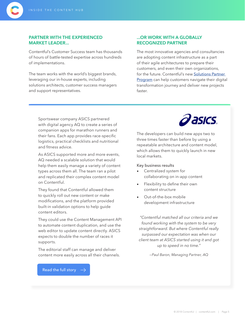

#### **PARTNER WITH THE EXPERIENCED MARKET LEADER...**

Contentful's Customer Success team has thousands of hours of battle-tested expertise across hundreds of implementations.

The team works with the world's biggest brands, leveraging our in-house experts, including solutions architects, customer success managers and support representatives.

#### **...OR WORK WITH A GLOBALLY RECOGNIZED PARTNER**

The most innovative agencies and consultancies are adopting content infrastructure as a part of their agile architectures to prepare their customers, and even their own organizations, for the future. Contentful's new Solutions Partner Program can help customers navigate their digital transformation journey and deliver new projects faster.

Sportswear company ASICS partnered with digital agency AQ to create a series of companion apps for marathon runners and their fans. Each app provides race-specific logistics, practical checklists and nutritional and fitness advice.

As ASICS supported more and more events, AQ needed a scalable solution that would help them easily manage a variety of content types across them all. The team ran a pilot and replicated their complex content model on Contentful.

They found that Contentful allowed them to quickly roll out new content or make modifications, and the platform provided built-in validation options to help guide content editors.

They could use the Content Management API to automate content duplication, and use the web editor to update content directly. ASICS expects to double the number of races it supports.

The editorial staff can manage and deliver content more easily across all their channels.





The developers can build new apps two to three times faster than before by using a repeatable architecture and content model, which allows them to quickly launch in new local markets.

Key business results

- Centralized system for collaborating on in-app content
- Flexibility to define their own content structure
- Out-of-the-box mobile development infrastructure

*"Contentful matched all our criteria and we found working with the system to be very straightforward. But where Contentful really surpassed our expectation was when our client team at ASICS started using it and got up to speed in no time."*

*—Paul Baron, Managing Partner, AQ*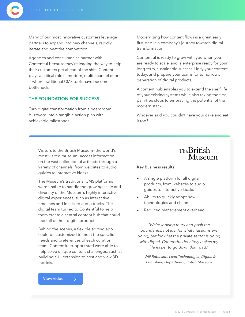Many of our most innovative customers leverage partners to expand into new channels, rapidly iterate and beat the competition.

Agencies and consultancies partner with Contentful because they're leading the way to help their customers get ahead of the shift. Content plays a critical role in modern, multi-channel efforts — where traditional CMS tools have become a bottleneck.

#### **THE FOUNDATION FOR SUCCESS**

Turn digital transformation from a boardroom buzzword into a tangible action plan with achievable milestones.

Modernizing how content flows is a great early first step in a company's journey towards digital transformation.

Contentful is ready to grow with you when you are ready to scale, and is enterprise ready for your long-term, sustainable success. Unify your content today, and prepare your teams for tomorrow's generation of digital products.

A content hub enables you to extend the shelf life of your existing systems while also taking the first, pain-free steps to embracing the potential of the modern stack.

Whoever said you couldn't have your cake and eat it too?

Visitors to the British Museum—the world's most visited museum—access information on the vast collection of artifacts through a variety of channels, from websites to audio guides to interactive kiosks.

The Museum's traditional CMS platforms were unable to handle the growing scale and diversity of the Museum's highly interactive digital experiences, such as interactive timelines and localized audio tracks. The digital team turned to Contentful to help them create a central content hub that could feed all of their digital products.

Behind the scenes, a flexible editing app could be customized to meet the specific needs and preferences of each curation team. Contentful support staff were able to help solve unique content challenges, such as building a UI extension to host and view 3D models.



Key business results:

- A single platform for all digital products, from websites to audio guides to interactive kiosks
- Ability to quickly adopt new technologies and channels
- Reduced management overhead

*"We're looking to try and push the boundaries, not just for what museums are doing, but for what the private sector is doing with digital. Contentful definitely makes my life easier to go down that road."*

*—Will Robinson, Lead Technologist, Digital & Publishing Department, British Museum*

View video